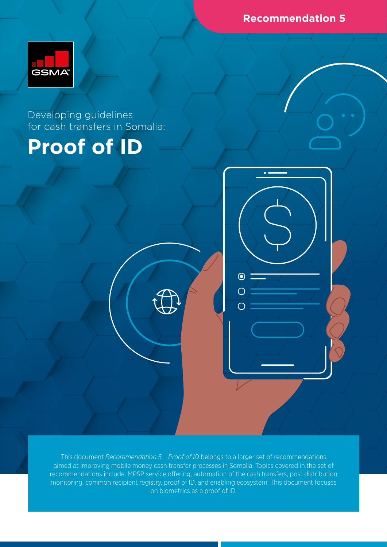**Recommendation 5**



Developing guidelines for cash transfers in Somalia:

# **Proof of ID**

This document *Recommendation 5 – Proof of ID* belongs to a larger set of recommendations aimed at improving mobile money cash transfer processes in Somalia. Topics covered in the set of recommendations include: MPSP service offering, automation of the cash transfers, post distribution monitoring, common recipient registry, proof of ID, and enabling ecosystem. This document focuses on biometrics as a proof of ID.

 $\odot$ 

 $\overline{C}$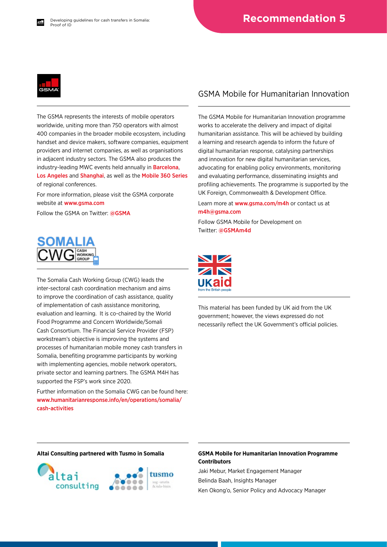

The GSMA represents the interests of mobile operators worldwide, uniting more than 750 operators with almost 400 companies in the broader mobile ecosystem, including handset and device makers, software companies, equipment providers and internet companies, as well as organisations in adjacent industry sectors. The GSMA also produces the industry-leading MWC events held annually in [Barcelona](https://www.mwcbarcelona.com), [Los Angeles](https://www.mwclosangeles.com/home1/) and [Shanghai](https://www.mwcshanghai.com), as well as the [Mobile 360 Series](https://www.mobile360series.com) of regional conferences.

For more information, please visit the GSMA corporate website at [www.gsma.com](https://www.gsma.com)

Follow the GSMA on Twitter: [@GSMA](https://twitter.com/gsma)



The Somalia Cash Working Group (CWG) leads the inter-sectoral cash coordination mechanism and aims to improve the coordination of cash assistance, quality of implementation of cash assistance monitoring, evaluation and learning. It is co-chaired by the World Food Programme and Concern Worldwide/Somali Cash Consortium. The Financial Service Provider (FSP) workstream's objective is improving the systems and processes of humanitarian mobile money cash transfers in Somalia, benefiting programme participants by working with implementing agencies, mobile network operators, private sector and learning partners. The GSMA M4H has supported the FSP's work since 2020.

Further information on the Somalia CWG can be found here: [www.humanitarianresponse.info/en/operations/somalia/](https://www.humanitarianresponse.info/en/operations/somalia/cash-activities) [cash-activities](https://www.humanitarianresponse.info/en/operations/somalia/cash-activities)

#### GSMA Mobile for Humanitarian Innovation

The GSMA Mobile for Humanitarian Innovation programme works to accelerate the delivery and impact of digital humanitarian assistance. This will be achieved by building a learning and research agenda to inform the future of digital humanitarian response, catalysing partnerships and innovation for new digital humanitarian services, advocating for enabling policy environments, monitoring and evaluating performance, disseminating insights and profiling achievements. The programme is supported by the UK Foreign, Commonwealth & Development Office.

Learn more at [www.gsma.com/m4h](https://www.gsma.com/mobilefordevelopment/mobile-for-humanitarian-innovation/) or contact us at [m4h@gsma.com](mailto:m4h%40gsma.com?subject=) 

Follow GSMA Mobile for Development on Twitter: [@GSMAm4d](https://twitter.com/GSMAm4d)



This material has been funded by UK aid from the UK government; however, the views expressed do not necessarily reflect the UK Government's official policies.



#### **Altai Consulting partnered with Tusmo in Somalia GSMA Mobile for Humanitarian Innovation Programme Contributors**

Jaki Mebur, Market Engagement Manager Belinda Baah, Insights Manager Ken Okong'o, Senior Policy and Advocacy Manager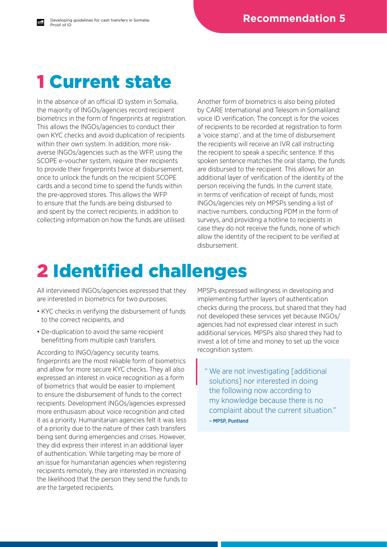### 1 Current state

Developing guidelines for cash transfers in Somalia:

In the absence of an official ID system in Somalia, the majority of INGOs/agencies record recipient biometrics in the form of fingerprints at registration. This allows the INGOs/agencies to conduct their own KYC checks and avoid duplication of recipients within their own system. In addition, more riskaverse INGOs/agencies such as the WFP, using the SCOPE e-voucher system, require their recipients to provide their fingerprints twice at disbursement, once to unlock the funds on the recipient SCOPE cards and a second time to spend the funds within the pre-approved stores. This allows the WFP to ensure that the funds are being disbursed to and spent by the correct recipients, in addition to collecting information on how the funds are utilised.

Another form of biometrics is also being piloted by CARE International and Telesom in Somaliland: voice ID verification. The concept is for the voices of recipients to be recorded at registration to form a 'voice stamp', and at the time of disbursement the recipients will receive an IVR call instructing the recipient to speak a specific sentence. If this spoken sentence matches the oral stamp, the funds are disbursed to the recipient. This allows for an additional layer of verification of the identity of the person receiving the funds. In the current state, in terms of verification of receipt of funds, most INGOs/agencies rely on MPSPs sending a list of inactive numbers, conducting PDM in the form of surveys, and providing a hotline to recipients in case they do not receive the funds, none of which allow the identity of the recipient to be verified at disbursement.

### 2 Identified challenges

All interviewed INGOs/agencies expressed that they are interested in biometrics for two purposes:

- KYC checks in verifying the disbursement of funds to the correct recipients, and
- De-duplication to avoid the same recipient benefitting from multiple cash transfers.

According to INGO/agency security teams, fingerprints are the most reliable form of biometrics and allow for more secure KYC checks. They all also expressed an interest in voice recognition as a form of biometrics that would be easier to implement to ensure the disbursement of funds to the correct recipients. Development INGOs/agencies expressed more enthusiasm about voice recognition and cited it as a priority. Humanitarian agencies felt it was less of a priority due to the nature of their cash transfers being sent during emergencies and crises. However, they did express their interest in an additional layer of authentication. While targeting may be more of an issue for humanitarian agencies when registering recipients remotely, they are interested in increasing the likelihood that the person they send the funds to are the targeted recipients.

MPSPs expressed willingness in developing and implementing further layers of authentication checks during the process, but shared that they had not developed these services yet because INGOs/ agencies had not expressed clear interest in such additional services. MPSPs also shared they had to invest a lot of time and money to set up the voice recognition system.

" We are not investigating [additional solutions] nor interested in doing the following now according to my knowledge because there is no complaint about the current situation." – MPSP, Puntland

Proof of ID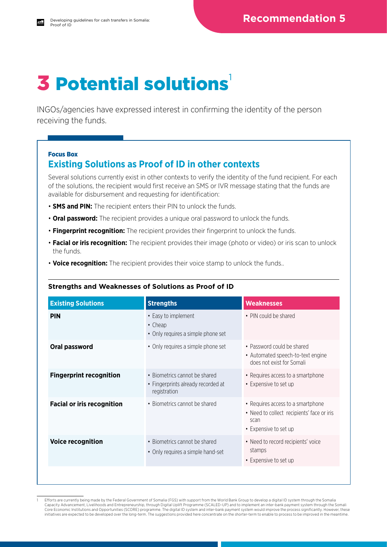## **3 Potential solutions**

INGOs/agencies have expressed interest in confirming the identity of the person receiving the funds.

#### Focus Box

### **Existing Solutions as Proof of ID in other contexts**

Several solutions currently exist in other contexts to verify the identity of the fund recipient. For each of the solutions, the recipient would first receive an SMS or IVR message stating that the funds are available for disbursement and requesting for identification:

- **SMS and PIN:** The recipient enters their PIN to unlock the funds.
- **Oral password:** The recipient provides a unique oral password to unlock the funds.
- **Fingerprint recognition:** The recipient provides their fingerprint to unlock the funds.
- **Facial or iris recognition:** The recipient provides their image (photo or video) or iris scan to unlock the funds.
- **Voice recognition:** The recipient provides their voice stamp to unlock the funds..

#### **Strengths and Weaknesses of Solutions as Proof of ID**

| <b>Existing Solutions</b>         | <b>Strengths</b>                                                                    | <b>Weaknesses</b>                                                                                                |
|-----------------------------------|-------------------------------------------------------------------------------------|------------------------------------------------------------------------------------------------------------------|
| <b>PIN</b>                        | • Easy to implement<br>$\cdot$ Cheap<br>• Only requires a simple phone set          | • PIN could be shared                                                                                            |
| Oral password                     | • Only requires a simple phone set                                                  | • Password could be shared<br>• Automated speech-to-text engine<br>does not exist for Somali                     |
| <b>Fingerprint recognition</b>    | • Biometrics cannot be shared<br>• Fingerprints already recorded at<br>registration | • Requires access to a smartphone<br>• Expensive to set up                                                       |
| <b>Facial or iris recognition</b> | • Biometrics cannot be shared                                                       | • Requires access to a smartphone<br>• Need to collect recipients' face or iris<br>scan<br>• Expensive to set up |
| <b>Voice recognition</b>          | • Biometrics cannot be shared<br>• Only requires a simple hand-set                  | • Need to record recipients' voice<br>stamps<br>• Expensive to set up                                            |
|                                   |                                                                                     |                                                                                                                  |

<sup>1</sup> Efforts are currently being made by the Federal Government of Somalia (FGS) with support from the World Bank Group to develop a digital ID system through the Somalia Capacity Advancement, Livelihoods and Entrepreneurship, through Digital Uplift Programme (SCALED-UP) and to implement an inter-bank payment system through the Somali Core Economic Institutions and Opportunities (SCORE) programme. The digital ID system and inter-bank payment system would improve the process significantly. However, these initiatives are expected to be developed over the long-term. The suggestions provided here concentrate on the shorter-term to enable to process to be improved in the meantime.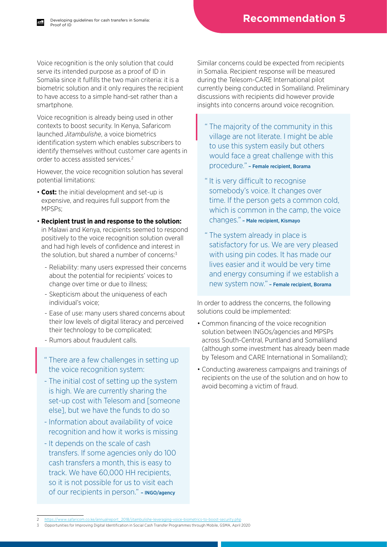Voice recognition is the only solution that could serve its intended purpose as a proof of ID in Somalia since it fulfills the two main criteria: it is a biometric solution and it only requires the recipient to have access to a simple hand-set rather than a smartphone.

Voice recognition is already being used in other contexts to boost security. In Kenya, Safaricom launched *Jitambulishe*, a voice biometrics identification system which enables subscribers to identify themselves without customer care agents in order to access assisted services.2

However, the voice recognition solution has several potential limitations:

- **Cost:** the initial development and set-up is expensive, and requires full support from the MPSPs;
- **Recipient trust in and response to the solution:** in Malawi and Kenya, recipients seemed to respond positively to the voice recognition solution overall and had high levels of confidence and interest in the solution, but shared a number of concerns: $3$ 
	- Reliability: many users expressed their concerns about the potential for recipients' voices to change over time or due to illness;
	- Skepticism about the uniqueness of each individual's voice;
	- Ease of use: many users shared concerns about their low levels of digital literacy and perceived their technology to be complicated;
	- Rumors about fraudulent calls.
	- " There are a few challenges in setting up the voice recognition system:
	- The initial cost of setting up the system is high. We are currently sharing the set-up cost with Telesom and [someone else], but we have the funds to do so
	- Information about availability of voice recognition and how it works is missing
	- It depends on the scale of cash transfers. If some agencies only do 100 cash transfers a month, this is easy to track. We have 60,000 HH recipients, so it is not possible for us to visit each of our recipients in person." - INGO/agency

Similar concerns could be expected from recipients in Somalia. Recipient response will be measured during the Telesom-CARE International pilot currently being conducted in Somaliland. Preliminary discussions with recipients did however provide insights into concerns around voice recognition.

- " The majority of the community in this village are not literate. I might be able to use this system easily but others would face a great challenge with this procedure." – Female recipient, Borama
- " It is very difficult to recognise somebody's voice. It changes over time. If the person gets a common cold, which is common in the camp, the voice changes." – Male recipient, Kismayo
- " The system already in place is satisfactory for us. We are very pleased with using pin codes. It has made our lives easier and it would be very time and energy consuming if we establish a new system now." – Female recipient, Borama

In order to address the concerns, the following solutions could be implemented:

- Common financing of the voice recognition solution between INGOs/agencies and MPSPs across South-Central, Puntland and Somaliland (although some investment has already been made by Telesom and CARE International in Somaliland);
- Conducting awareness campaigns and trainings of recipients on the use of the solution and on how to avoid becoming a victim of fraud.

<sup>2</sup> [https://www.safaricom.co.ke/annualreport\\_2018/jitambulishe-leveraging-voice-biometrics-to-boost-security.php](https://www.safaricom.co.ke/annualreport_2018/jitambulishe-leveraging-voice-biometrics-to-boost-security.php) 3 Opportunities for Improving Digital Identification in Social Cash Transfer Programmes through Mobile, GSMA, April 2020